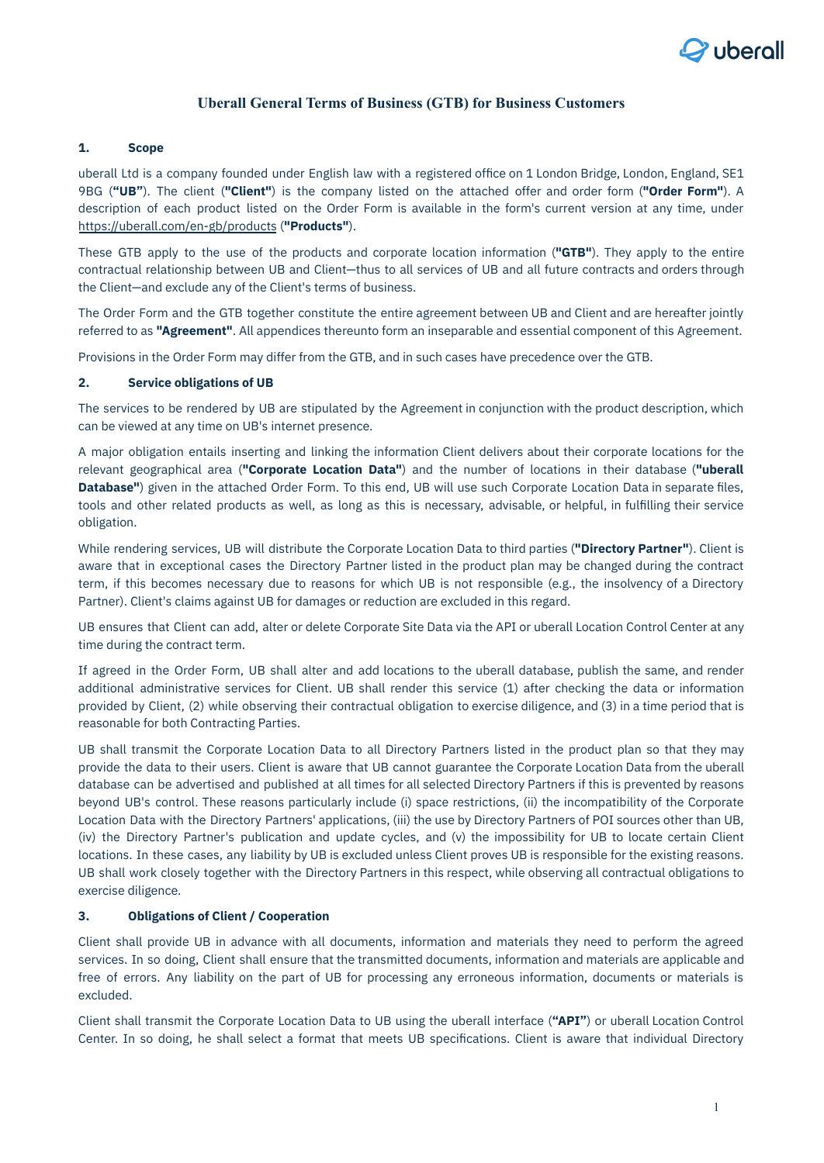

# **Uberall General Terms of Business (GTB) for Business Customers**

## **1. Scope**

uberall Ltd is a company founded under English law with a registered office on 1 London Bridge, London, England, SE1 9BG (**"UB"**). The client (**"Client"**) is the company listed on the attached offer and order form (**"Order Form"**). A description of each product listed on the Order Form is available in the form's current version at any time, under <https://uberall.com/en-gb/products> (**"Products"**).

These GTB apply to the use of the products and corporate location information (**"GTB"**). They apply to the entire contractual relationship between UB and Client—thus to all services of UB and all future contracts and orders through the Client—and exclude any of the Client's terms of business.

The Order Form and the GTB together constitute the entire agreement between UB and Client and are hereafter jointly referred to as **"Agreement"**. All appendices thereunto form an inseparable and essential component of this Agreement.

Provisions in the Order Form may differ from the GTB, and in such cases have precedence over the GTB.

## **2. Service obligations of UB**

The services to be rendered by UB are stipulated by the Agreement in conjunction with the product description, which can be viewed at any time on UB's internet presence.

A major obligation entails inserting and linking the information Client delivers about their corporate locations for the relevant geographical area (**"Corporate Location Data"**) and the number of locations in their database (**"uberall Database"**) given in the attached Order Form. To this end, UB will use such Corporate Location Data in separate files, tools and other related products as well, as long as this is necessary, advisable, or helpful, in fulfilling their service obligation.

While rendering services, UB will distribute the Corporate Location Data to third parties (**"Directory Partner"**). Client is aware that in exceptional cases the Directory Partner listed in the product plan may be changed during the contract term, if this becomes necessary due to reasons for which UB is not responsible (e.g., the insolvency of a Directory Partner). Client's claims against UB for damages or reduction are excluded in this regard.

UB ensures that Client can add, alter or delete Corporate Site Data via the API or uberall Location Control Center at any time during the contract term.

If agreed in the Order Form, UB shall alter and add locations to the uberall database, publish the same, and render additional administrative services for Client. UB shall render this service (1) after checking the data or information provided by Client, (2) while observing their contractual obligation to exercise diligence, and (3) in a time period that is reasonable for both Contracting Parties.

UB shall transmit the Corporate Location Data to all Directory Partners listed in the product plan so that they may provide the data to their users. Client is aware that UB cannot guarantee the Corporate Location Data from the uberall database can be advertised and published at all times for all selected Directory Partners if this is prevented by reasons beyond UB's control. These reasons particularly include (i) space restrictions, (ii) the incompatibility of the Corporate Location Data with the Directory Partners' applications, (iii) the use by Directory Partners of POI sources other than UB, (iv) the Directory Partner's publication and update cycles, and (v) the impossibility for UB to locate certain Client locations. In these cases, any liability by UB is excluded unless Client proves UB is responsible for the existing reasons. UB shall work closely together with the Directory Partners in this respect, while observing all contractual obligations to exercise diligence.

### **3. Obligations of Client / Cooperation**

Client shall provide UB in advance with all documents, information and materials they need to perform the agreed services. In so doing, Client shall ensure that the transmitted documents, information and materials are applicable and free of errors. Any liability on the part of UB for processing any erroneous information, documents or materials is excluded.

Client shall transmit the Corporate Location Data to UB using the uberall interface (**"API"**) or uberall Location Control Center. In so doing, he shall select a format that meets UB specifications. Client is aware that individual Directory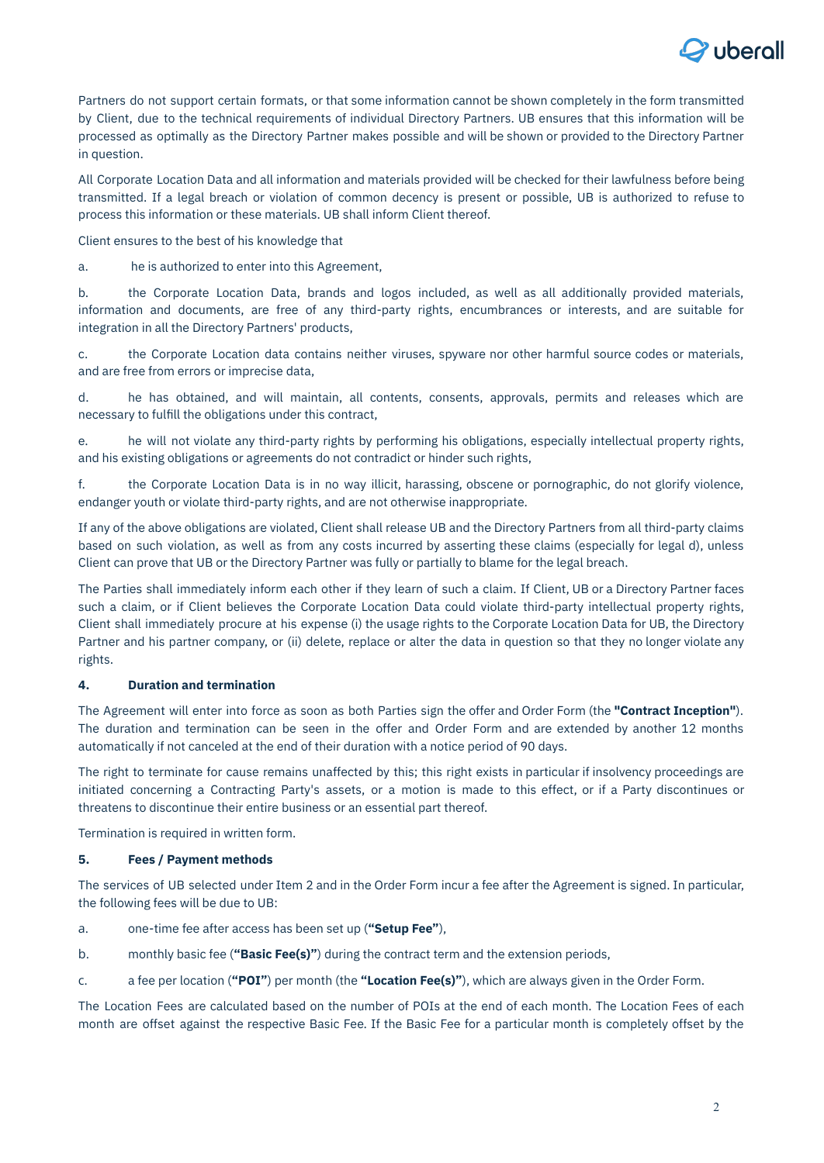

Partners do not support certain formats, or that some information cannot be shown completely in the form transmitted by Client, due to the technical requirements of individual Directory Partners. UB ensures that this information will be processed as optimally as the Directory Partner makes possible and will be shown or provided to the Directory Partner in question.

All Corporate Location Data and all information and materials provided will be checked for their lawfulness before being transmitted. If a legal breach or violation of common decency is present or possible, UB is authorized to refuse to process this information or these materials. UB shall inform Client thereof.

Client ensures to the best of his knowledge that

a. he is authorized to enter into this Agreement,

b. the Corporate Location Data, brands and logos included, as well as all additionally provided materials, information and documents, are free of any third-party rights, encumbrances or interests, and are suitable for integration in all the Directory Partners' products,

c. the Corporate Location data contains neither viruses, spyware nor other harmful source codes or materials, and are free from errors or imprecise data,

d. he has obtained, and will maintain, all contents, consents, approvals, permits and releases which are necessary to fulfill the obligations under this contract,

e. he will not violate any third-party rights by performing his obligations, especially intellectual property rights, and his existing obligations or agreements do not contradict or hinder such rights,

f. the Corporate Location Data is in no way illicit, harassing, obscene or pornographic, do not glorify violence, endanger youth or violate third-party rights, and are not otherwise inappropriate.

If any of the above obligations are violated, Client shall release UB and the Directory Partners from all third-party claims based on such violation, as well as from any costs incurred by asserting these claims (especially for legal d), unless Client can prove that UB or the Directory Partner was fully or partially to blame for the legal breach.

The Parties shall immediately inform each other if they learn of such a claim. If Client, UB or a Directory Partner faces such a claim, or if Client believes the Corporate Location Data could violate third-party intellectual property rights, Client shall immediately procure at his expense (i) the usage rights to the Corporate Location Data for UB, the Directory Partner and his partner company, or (ii) delete, replace or alter the data in question so that they no longer violate any rights.

## **4. Duration and termination**

The Agreement will enter into force as soon as both Parties sign the offer and Order Form (the **"Contract Inception"**). The duration and termination can be seen in the offer and Order Form and are extended by another 12 months automatically if not canceled at the end of their duration with a notice period of 90 days.

The right to terminate for cause remains unaffected by this; this right exists in particular if insolvency proceedings are initiated concerning a Contracting Party's assets, or a motion is made to this effect, or if a Party discontinues or threatens to discontinue their entire business or an essential part thereof.

Termination is required in written form.

### **5. Fees / Payment methods**

The services of UB selected under Item 2 and in the Order Form incur a fee after the Agreement is signed. In particular, the following fees will be due to UB:

- a. one-time fee after access has been set up (**"Setup Fee"**),
- b. monthly basic fee (**"Basic Fee(s)"**) during the contract term and the extension periods,
- c. a fee per location (**"POI"**) per month (the **"Location Fee(s)"**), which are always given in the Order Form.

The Location Fees are calculated based on the number of POIs at the end of each month. The Location Fees of each month are offset against the respective Basic Fee. If the Basic Fee for a particular month is completely offset by the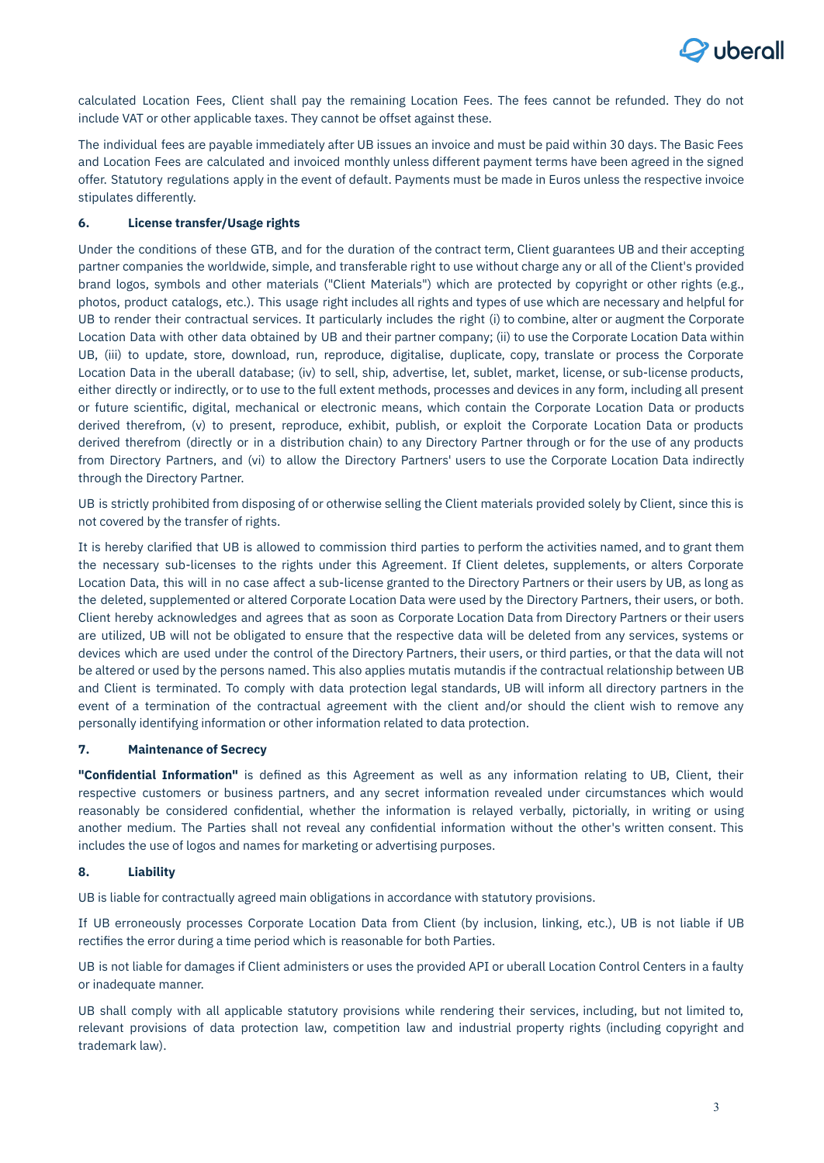

calculated Location Fees, Client shall pay the remaining Location Fees. The fees cannot be refunded. They do not include VAT or other applicable taxes. They cannot be offset against these.

The individual fees are payable immediately after UB issues an invoice and must be paid within 30 days. The Basic Fees and Location Fees are calculated and invoiced monthly unless different payment terms have been agreed in the signed offer. Statutory regulations apply in the event of default. Payments must be made in Euros unless the respective invoice stipulates differently.

## **6. License transfer/Usage rights**

Under the conditions of these GTB, and for the duration of the contract term, Client guarantees UB and their accepting partner companies the worldwide, simple, and transferable right to use without charge any or all of the Client's provided brand logos, symbols and other materials ("Client Materials") which are protected by copyright or other rights (e.g., photos, product catalogs, etc.). This usage right includes all rights and types of use which are necessary and helpful for UB to render their contractual services. It particularly includes the right (i) to combine, alter or augment the Corporate Location Data with other data obtained by UB and their partner company; (ii) to use the Corporate Location Data within UB, (iii) to update, store, download, run, reproduce, digitalise, duplicate, copy, translate or process the Corporate Location Data in the uberall database; (iv) to sell, ship, advertise, let, sublet, market, license, or sub-license products, either directly or indirectly, or to use to the full extent methods, processes and devices in any form, including all present or future scientific, digital, mechanical or electronic means, which contain the Corporate Location Data or products derived therefrom, (v) to present, reproduce, exhibit, publish, or exploit the Corporate Location Data or products derived therefrom (directly or in a distribution chain) to any Directory Partner through or for the use of any products from Directory Partners, and (vi) to allow the Directory Partners' users to use the Corporate Location Data indirectly through the Directory Partner.

UB is strictly prohibited from disposing of or otherwise selling the Client materials provided solely by Client, since this is not covered by the transfer of rights.

It is hereby clarified that UB is allowed to commission third parties to perform the activities named, and to grant them the necessary sub-licenses to the rights under this Agreement. If Client deletes, supplements, or alters Corporate Location Data, this will in no case affect a sub-license granted to the Directory Partners or their users by UB, as long as the deleted, supplemented or altered Corporate Location Data were used by the Directory Partners, their users, or both. Client hereby acknowledges and agrees that as soon as Corporate Location Data from Directory Partners or their users are utilized, UB will not be obligated to ensure that the respective data will be deleted from any services, systems or devices which are used under the control of the Directory Partners, their users, or third parties, or that the data will not be altered or used by the persons named. This also applies mutatis mutandis if the contractual relationship between UB and Client is terminated. To comply with data protection legal standards, UB will inform all directory partners in the event of a termination of the contractual agreement with the client and/or should the client wish to remove any personally identifying information or other information related to data protection.

## **7. Maintenance of Secrecy**

**"Confidential Information"** is defined as this Agreement as well as any information relating to UB, Client, their respective customers or business partners, and any secret information revealed under circumstances which would reasonably be considered confidential, whether the information is relayed verbally, pictorially, in writing or using another medium. The Parties shall not reveal any confidential information without the other's written consent. This includes the use of logos and names for marketing or advertising purposes.

## **8. Liability**

UB is liable for contractually agreed main obligations in accordance with statutory provisions.

If UB erroneously processes Corporate Location Data from Client (by inclusion, linking, etc.), UB is not liable if UB rectifies the error during a time period which is reasonable for both Parties.

UB is not liable for damages if Client administers or uses the provided API or uberall Location Control Centers in a faulty or inadequate manner.

UB shall comply with all applicable statutory provisions while rendering their services, including, but not limited to, relevant provisions of data protection law, competition law and industrial property rights (including copyright and trademark law).